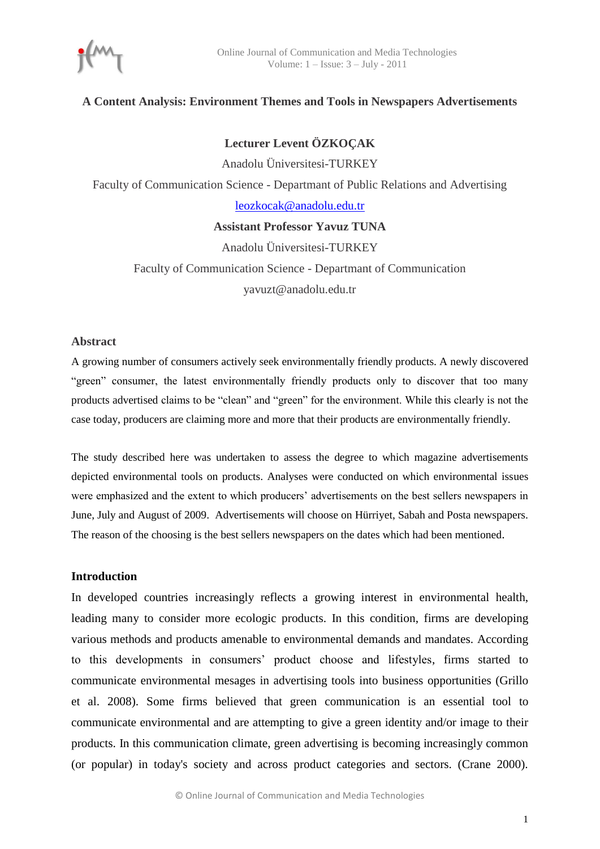# **A Content Analysis: Environment Themes and Tools in Newspapers Advertisements**

**Lecturer Levent ÖZKOÇAK**

Anadolu Üniversitesi-TURKEY Faculty of Communication Science - Departmant of Public Relations and Advertising [leozkocak@anadolu.edu.tr](mailto:leozkocak@anadolu.edu.tr) **Assistant Professor Yavuz TUNA**

> Anadolu Üniversitesi-TURKEY Faculty of Communication Science - Departmant of Communication yavuzt@anadolu.edu.tr

## **Abstract**

A growing number of consumers actively seek environmentally friendly products. A newly discovered "green" consumer, the latest environmentally friendly products only to discover that too many products advertised claims to be "clean" and "green" for the environment. While this clearly is not the case today, producers are claiming more and more that their products are environmentally friendly.

The study described here was undertaken to assess the degree to which magazine advertisements depicted environmental tools on products. Analyses were conducted on which environmental issues were emphasized and the extent to which producers" advertisements on the best sellers newspapers in June, July and August of 2009. Advertisements will choose on Hürriyet, Sabah and Posta newspapers. The reason of the choosing is the best sellers newspapers on the dates which had been mentioned.

#### **Introduction**

In developed countries increasingly reflects a growing interest in environmental health, leading many to consider more ecologic products. In this condition, firms are developing various methods and products amenable to environmental demands and mandates. According to this developments in consumers" product choose and lifestyles, firms started to communicate environmental mesages in advertising tools into business opportunities (Grillo et al. 2008). Some firms believed that green communication is an essential tool to communicate environmental and are attempting to give a green identity and/or image to their products. In this communication climate, green advertising is becoming increasingly common (or popular) in today's society and across product categories and sectors. (Crane 2000).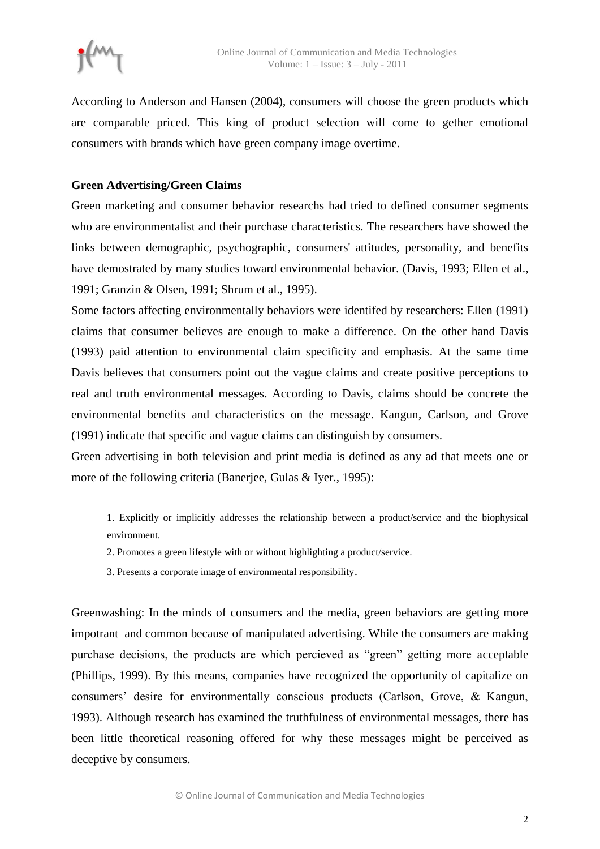

According to Anderson and Hansen (2004), consumers will choose the green products which are comparable priced. This king of product selection will come to gether emotional consumers with brands which have green company image overtime.

# **Green Advertising/Green Claims**

Green marketing and consumer behavior researchs had tried to defined consumer segments who are environmentalist and their purchase characteristics. The researchers have showed the links between demographic, psychographic, consumers' attitudes, personality, and benefits have demostrated by many studies toward environmental behavior. (Davis, 1993; Ellen et al., 1991; Granzin & Olsen, 1991; Shrum et al., 1995).

Some factors affecting environmentally behaviors were identifed by researchers: Ellen (1991) claims that consumer believes are enough to make a difference. On the other hand Davis (1993) paid attention to environmental claim specificity and emphasis. At the same time Davis believes that consumers point out the vague claims and create positive perceptions to real and truth environmental messages. According to Davis, claims should be concrete the environmental benefits and characteristics on the message. Kangun, Carlson, and Grove (1991) indicate that specific and vague claims can distinguish by consumers.

Green advertising in both television and print media is defined as any ad that meets one or more of the following criteria (Banerjee, Gulas & Iyer., 1995):

1. Explicitly or implicitly addresses the relationship between a product/service and the biophysical environment.

- 2. Promotes a green lifestyle with or without highlighting a product/service.
- 3. Presents a corporate image of environmental responsibility.

Greenwashing: In the minds of consumers and the media, green behaviors are getting more impotrant and common because of manipulated advertising. While the consumers are making purchase decisions, the products are which percieved as "green" getting more acceptable (Phillips, 1999). By this means, companies have recognized the opportunity of capitalize on consumers" desire for environmentally conscious products (Carlson, Grove, & Kangun, 1993). Although research has examined the truthfulness of environmental messages, there has been little theoretical reasoning offered for why these messages might be perceived as deceptive by consumers.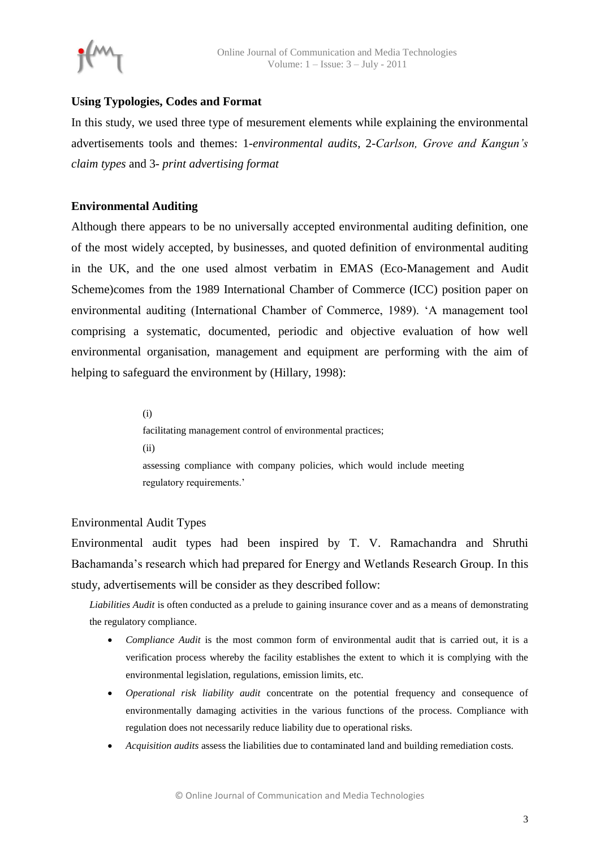

# **Using Typologies, Codes and Format**

In this study, we used three type of mesurement elements while explaining the environmental advertisements tools and themes: 1-*environmental audits*, 2-*Carlson, Grove and Kangun's claim types* and 3- *print advertising format*

# **Environmental Auditing**

Although there appears to be no universally accepted environmental auditing definition, one of the most widely accepted, by businesses, and quoted definition of environmental auditing in the UK, and the one used almost verbatim in EMAS (Eco-Management and Audit Scheme)comes from the 1989 International Chamber of Commerce (ICC) position paper on environmental auditing (International Chamber of Commerce, 1989). "A management tool comprising a systematic, documented, periodic and objective evaluation of how well environmental organisation, management and equipment are performing with the aim of helping to safeguard the environment by (Hillary, 1998):

> (i) facilitating management control of environmental practices; (ii) assessing compliance with company policies, which would include meeting regulatory requirements."

## Environmental Audit Types

Environmental audit types had been inspired by T. V. Ramachandra and Shruthi Bachamanda"s research which had prepared for Energy and Wetlands Research Group. In this study, advertisements will be consider as they described follow:

*Liabilities Audit* is often conducted as a prelude to gaining insurance cover and as a means of demonstrating the regulatory compliance.

- *Compliance Audit* is the most common form of environmental audit that is carried out, it is a verification process whereby the facility establishes the extent to which it is complying with the environmental legislation, regulations, emission limits, etc.
- *Operational risk liability audit* concentrate on the potential frequency and consequence of environmentally damaging activities in the various functions of the process. Compliance with regulation does not necessarily reduce liability due to operational risks.
- *Acquisition audits* assess the liabilities due to contaminated land and building remediation costs.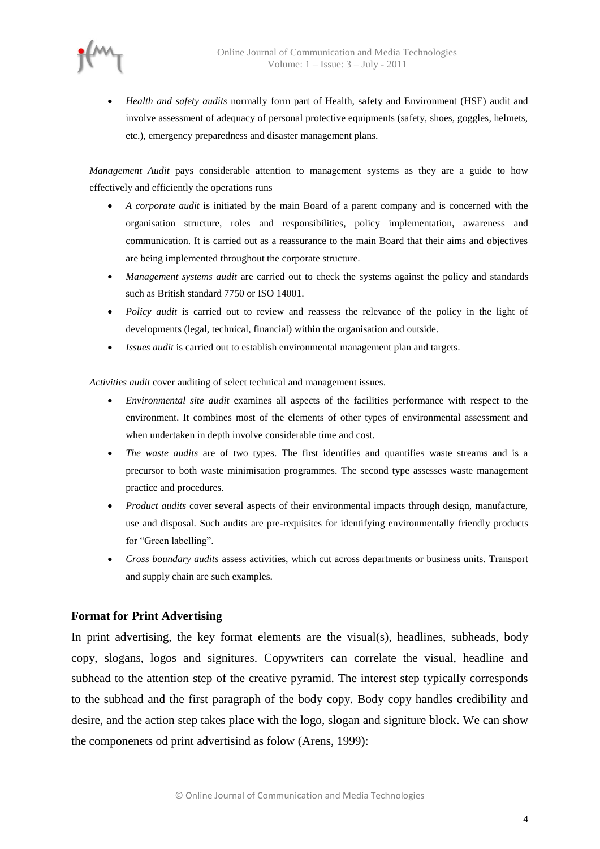

 *Health and safety audits* normally form part of Health, safety and Environment (HSE) audit and involve assessment of adequacy of personal protective equipments (safety, shoes, goggles, helmets, etc.), emergency preparedness and disaster management plans.

*Management Audit* pays considerable attention to management systems as they are a guide to how effectively and efficiently the operations runs

- *A corporate audit* is initiated by the main Board of a parent company and is concerned with the organisation structure, roles and responsibilities, policy implementation, awareness and communication. It is carried out as a reassurance to the main Board that their aims and objectives are being implemented throughout the corporate structure.
- *Management systems audit* are carried out to check the systems against the policy and standards such as British standard 7750 or ISO 14001.
- *Policy audit* is carried out to review and reassess the relevance of the policy in the light of developments (legal, technical, financial) within the organisation and outside.
- *Issues audit* is carried out to establish environmental management plan and targets.

*Activities audit* cover auditing of select technical and management issues.

- *Environmental site audit* examines all aspects of the facilities performance with respect to the environment. It combines most of the elements of other types of environmental assessment and when undertaken in depth involve considerable time and cost.
- *The waste audits* are of two types. The first identifies and quantifies waste streams and is a precursor to both waste minimisation programmes. The second type assesses waste management practice and procedures.
- *Product audits* cover several aspects of their environmental impacts through design, manufacture, use and disposal. Such audits are pre-requisites for identifying environmentally friendly products for "Green labelling".
- *Cross boundary audits* assess activities, which cut across departments or business units. Transport and supply chain are such examples.

## **Format for Print Advertising**

In print advertising, the key format elements are the visual(s), headlines, subheads, body copy, slogans, logos and signitures. Copywriters can correlate the visual, headline and subhead to the attention step of the creative pyramid. The interest step typically corresponds to the subhead and the first paragraph of the body copy. Body copy handles credibility and desire, and the action step takes place with the logo, slogan and signiture block. We can show the componenets od print advertisind as folow (Arens, 1999):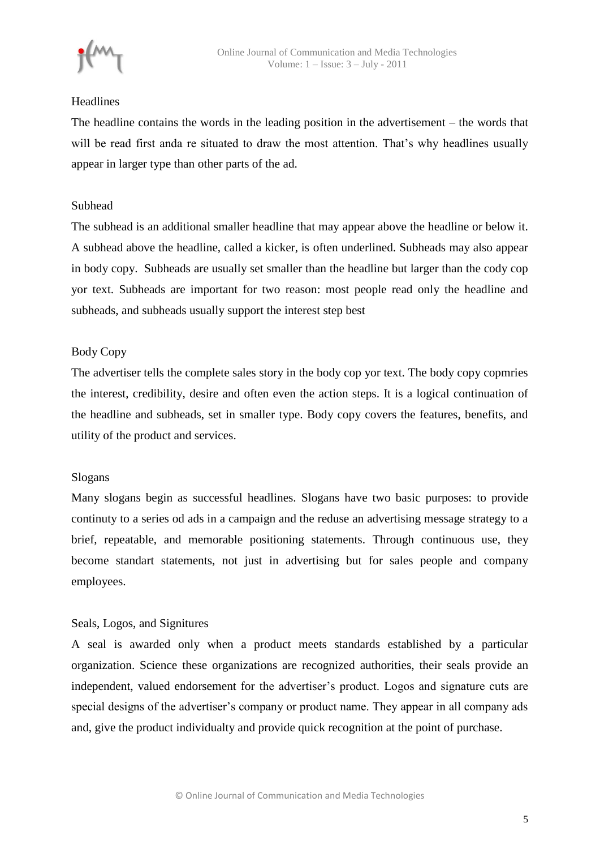

## Headlines

The headline contains the words in the leading position in the advertisement – the words that will be read first anda re situated to draw the most attention. That's why headlines usually appear in larger type than other parts of the ad.

# Subhead

The subhead is an additional smaller headline that may appear above the headline or below it. A subhead above the headline, called a kicker, is often underlined. Subheads may also appear in body copy. Subheads are usually set smaller than the headline but larger than the cody cop yor text. Subheads are important for two reason: most people read only the headline and subheads, and subheads usually support the interest step best

# Body Copy

The advertiser tells the complete sales story in the body cop yor text. The body copy copmries the interest, credibility, desire and often even the action steps. It is a logical continuation of the headline and subheads, set in smaller type. Body copy covers the features, benefits, and utility of the product and services.

## Slogans

Many slogans begin as successful headlines. Slogans have two basic purposes: to provide continuty to a series od ads in a campaign and the reduse an advertising message strategy to a brief, repeatable, and memorable positioning statements. Through continuous use, they become standart statements, not just in advertising but for sales people and company employees.

# Seals, Logos, and Signitures

A seal is awarded only when a product meets standards established by a particular organization. Science these organizations are recognized authorities, their seals provide an independent, valued endorsement for the advertiser's product. Logos and signature cuts are special designs of the advertiser"s company or product name. They appear in all company ads and, give the product individualty and provide quick recognition at the point of purchase.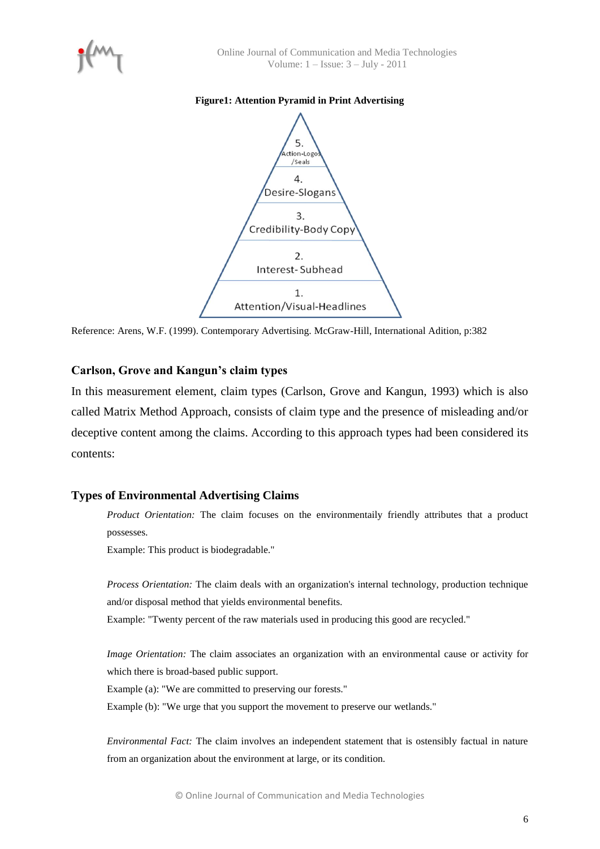

#### **Figure1: Attention Pyramid in Print Advertising**



Reference: Arens, W.F. (1999). Contemporary Advertising. McGraw-Hill, International Adition, p:382

## **Carlson, Grove and Kangun's claim types**

In this measurement element, claim types (Carlson, Grove and Kangun, 1993) which is also called Matrix Method Approach, consists of claim type and the presence of misleading and/or deceptive content among the claims. According to this approach types had been considered its contents:

## **Types of Environmental Advertising Claims**

*Product Orientation:* The claim focuses on the environmentaily friendly attributes that a product possesses.

Example: This product is biodegradable."

*Process Orientation:* The claim deals with an organization's internal technology, production technique and/or disposal method that yields environmental benefits.

Example: "Twenty percent of the raw materials used in producing this good are recycled."

*Image Orientation:* The claim associates an organization with an environmental cause or activity for which there is broad-based public support.

Example (a): "We are committed to preserving our forests."

Example (b): "We urge that you support the movement to preserve our wetlands."

*Environmental Fact:* The claim involves an independent statement that is ostensibly factual in nature from an organization about the environment at large, or its condition.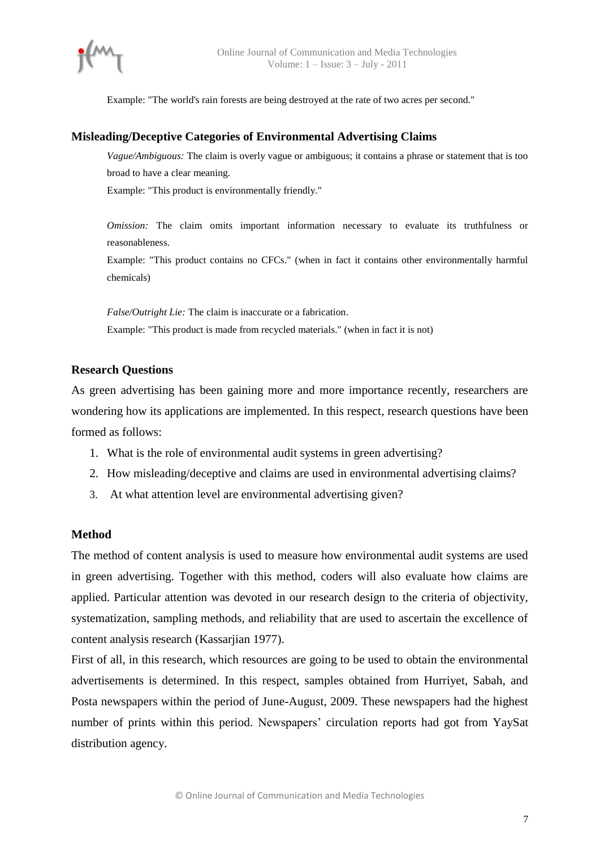Example: "The world's rain forests are being destroyed at the rate of two acres per second."

## **Misleading/Deceptive Categories of Environmental Advertising Claims**

*Vague/Ambiguous:* The claim is overly vague or ambiguous; it contains a phrase or statement that is too broad to have a clear meaning. Example: "This product is environmentally friendly."

*Omission:* The claim omits important information necessary to evaluate its truthfulness or reasonableness.

Example: "This product contains no CFCs." (when in fact it contains other environmentally harmful chemicals)

*False/Outright Lie:* The claim is inaccurate or a fabrication. Example: "This product is made from recycled materials." (when in fact it is not)

## **Research Questions**

As green advertising has been gaining more and more importance recently, researchers are wondering how its applications are implemented. In this respect, research questions have been formed as follows:

- 1. What is the role of environmental audit systems in green advertising?
- 2. How misleading/deceptive and claims are used in environmental advertising claims?
- 3. At what attention level are environmental advertising given?

## **Method**

The method of content analysis is used to measure how environmental audit systems are used in green advertising. Together with this method, coders will also evaluate how claims are applied. Particular attention was devoted in our research design to the criteria of objectivity, systematization, sampling methods, and reliability that are used to ascertain the excellence of content analysis research (Kassarjian 1977).

First of all, in this research, which resources are going to be used to obtain the environmental advertisements is determined. In this respect, samples obtained from Hurriyet, Sabah, and Posta newspapers within the period of June-August, 2009. These newspapers had the highest number of prints within this period. Newspapers' circulation reports had got from YaySat distribution agency.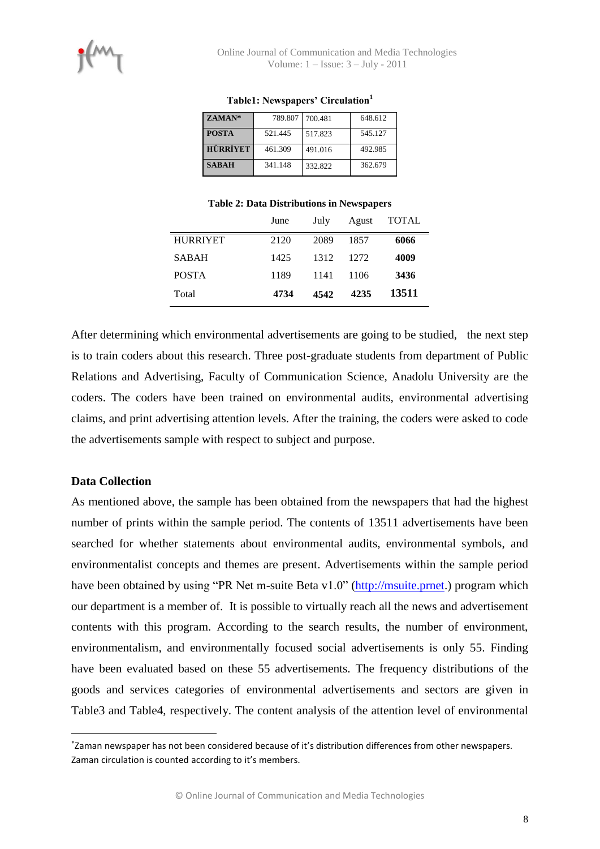| ZAMAN*          | 789.807 | 700.481 | 648.612 |
|-----------------|---------|---------|---------|
| <b>POSTA</b>    | 521.445 | 517.823 | 545.127 |
| <b>HÜRRİYET</b> | 461.309 | 491.016 | 492.985 |
| <b>SABAH</b>    | 341.148 | 332.822 | 362.679 |

#### **Table1: Newspapers' Circulation<sup>1</sup>**

#### **Table 2: Data Distributions in Newspapers**

|                 | June | July | Agust | TOTAL |
|-----------------|------|------|-------|-------|
| <b>HURRIYET</b> | 2120 | 2089 | 1857  | 6066  |
| <b>SABAH</b>    | 1425 | 1312 | 1272  | 4009  |
| <b>POSTA</b>    | 1189 | 1141 | 1106  | 3436  |
| Total           | 4734 | 4542 | 4235  | 13511 |

After determining which environmental advertisements are going to be studied, the next step is to train coders about this research. Three post-graduate students from department of Public Relations and Advertising, Faculty of Communication Science, Anadolu University are the coders. The coders have been trained on environmental audits, environmental advertising claims, and print advertising attention levels. After the training, the coders were asked to code the advertisements sample with respect to subject and purpose.

## **Data Collection**

 $\overline{a}$ 

As mentioned above, the sample has been obtained from the newspapers that had the highest number of prints within the sample period. The contents of 13511 advertisements have been searched for whether statements about environmental audits, environmental symbols, and environmentalist concepts and themes are present. Advertisements within the sample period have been obtained by using "PR Net m-suite Beta v1.0" [\(http://msuite.prnet.](http://msuite.prnet/)) program which our department is a member of. It is possible to virtually reach all the news and advertisement contents with this program. According to the search results, the number of environment, environmentalism, and environmentally focused social advertisements is only 55. Finding have been evaluated based on these 55 advertisements. The frequency distributions of the goods and services categories of environmental advertisements and sectors are given in Table3 and Table4, respectively. The content analysis of the attention level of environmental

Zaman newspaper has not been considered because of it's distribution differences from other newspapers. Zaman circulation is counted according to it's members.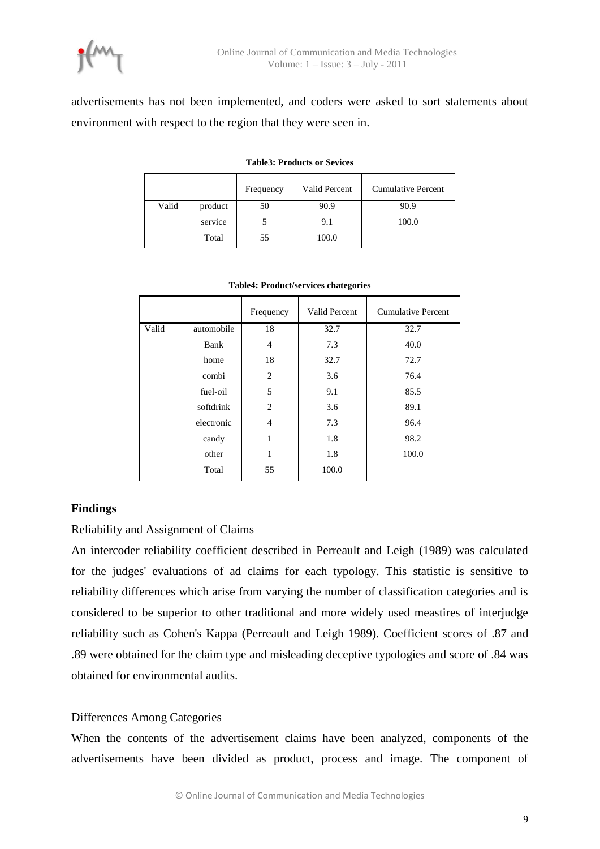

advertisements has not been implemented, and coders were asked to sort statements about environment with respect to the region that they were seen in.

|       |         | Frequency | <b>Valid Percent</b> | <b>Cumulative Percent</b> |
|-------|---------|-----------|----------------------|---------------------------|
| Valid | product | 50        | 90.9                 | 90.9                      |
|       | service |           | 9.1                  | 100.0                     |
|       | Total   | 55        | 100.0                |                           |

| <b>Table3: Products or Sevices</b> |
|------------------------------------|
|                                    |

|       |            | Frequency      | Valid Percent | <b>Cumulative Percent</b> |
|-------|------------|----------------|---------------|---------------------------|
| Valid | automobile | 18             | 32.7          | 32.7                      |
|       | Bank       | $\overline{4}$ | 7.3           | 40.0                      |
|       | home       | 18             | 32.7          | 72.7                      |
|       | combi      | $\overline{2}$ | 3.6           | 76.4                      |
|       | fuel-oil   | 5              | 9.1           | 85.5                      |
|       | softdrink  | $\overline{c}$ | 3.6           | 89.1                      |
|       | electronic | $\overline{4}$ | 7.3           | 96.4                      |
|       | candy      | 1              | 1.8           | 98.2                      |
|       | other      | 1              | 1.8           | 100.0                     |
|       | Total      | 55             | 100.0         |                           |
|       |            |                |               |                           |

#### **Table4: Product/services chategories**

## **Findings**

Reliability and Assignment of Claims

An intercoder reliability coefficient described in Perreault and Leigh (1989) was calculated for the judges' evaluations of ad claims for each typology. This statistic is sensitive to reliability differences which arise from varying the number of classification categories and is considered to be superior to other traditional and more widely used meastires of interjudge reliability such as Cohen's Kappa (Perreault and Leigh 1989). Coefficient scores of .87 and .89 were obtained for the claim type and misleading deceptive typologies and score of .84 was obtained for environmental audits.

## Differences Among Categories

When the contents of the advertisement claims have been analyzed, components of the advertisements have been divided as product, process and image. The component of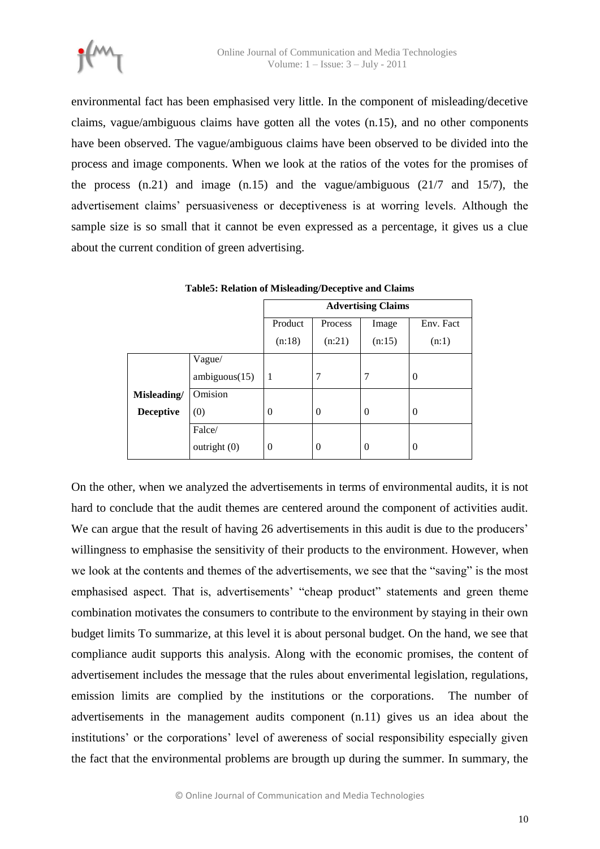

environmental fact has been emphasised very little. In the component of misleading/decetive claims, vague/ambiguous claims have gotten all the votes (n.15), and no other components have been observed. The vague/ambiguous claims have been observed to be divided into the process and image components. When we look at the ratios of the votes for the promises of the process (n.21) and image (n.15) and the vague/ambiguous (21/7 and 15/7), the advertisement claims" persuasiveness or deceptiveness is at worring levels. Although the sample size is so small that it cannot be even expressed as a percentage, it gives us a clue about the current condition of green advertising.

|                  |                | <b>Advertising Claims</b> |          |                |           |  |  |  |  |  |
|------------------|----------------|---------------------------|----------|----------------|-----------|--|--|--|--|--|
|                  |                | Product                   | Process  | Image          | Env. Fact |  |  |  |  |  |
|                  |                | (n:18)                    | (n:21)   | (n:15)         | (n:1)     |  |  |  |  |  |
|                  | Vague/         |                           |          |                |           |  |  |  |  |  |
|                  | ambiguous(15)  | 1                         | 7        |                | $\theta$  |  |  |  |  |  |
| Misleading/      | Omision        |                           |          |                |           |  |  |  |  |  |
| <b>Deceptive</b> | (0)            | $\theta$                  | $\theta$ | $\theta$       | $\theta$  |  |  |  |  |  |
|                  | Falce/         |                           |          |                |           |  |  |  |  |  |
|                  | outright $(0)$ | $\Omega$                  | $\Omega$ | $\overline{0}$ | $\theta$  |  |  |  |  |  |

**Table5: Relation of Misleading/Deceptive and Claims**

On the other, when we analyzed the advertisements in terms of environmental audits, it is not hard to conclude that the audit themes are centered around the component of activities audit. We can argue that the result of having 26 advertisements in this audit is due to the producers' willingness to emphasise the sensitivity of their products to the environment. However, when we look at the contents and themes of the advertisements, we see that the "saving" is the most emphasised aspect. That is, advertisements' "cheap product" statements and green theme combination motivates the consumers to contribute to the environment by staying in their own budget limits To summarize, at this level it is about personal budget. On the hand, we see that compliance audit supports this analysis. Along with the economic promises, the content of advertisement includes the message that the rules about enverimental legislation, regulations, emission limits are complied by the institutions or the corporations. The number of advertisements in the management audits component (n.11) gives us an idea about the institutions' or the corporations' level of awereness of social responsibility especially given the fact that the environmental problems are brougth up during the summer. In summary, the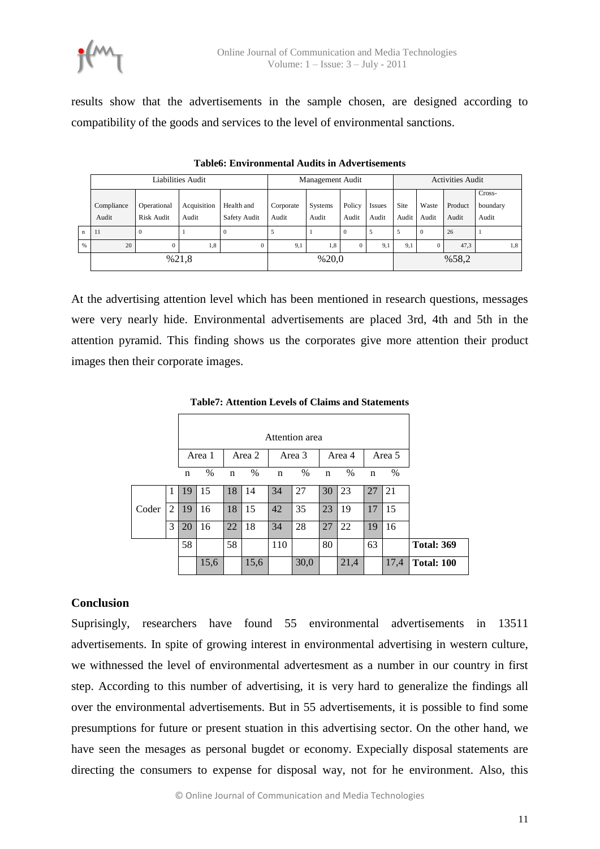

results show that the advertisements in the sample chosen, are designed according to compatibility of the goods and services to the level of environmental sanctions.

|              |            | Management Audit |             |              |           | <b>Activities Audit</b> |                |               |       |              |         |                    |
|--------------|------------|------------------|-------------|--------------|-----------|-------------------------|----------------|---------------|-------|--------------|---------|--------------------|
|              | Compliance | Operational      | Acquisition | Health and   | Corporate | Systems                 | Policy         | <b>Issues</b> | Site  | Waste        | Product | Cross-<br>boundary |
|              | Audit      | Risk Audit       | Audit       | Safety Audit | Audit     | Audit                   | Audit          | Audit         | Audit | Audit        | Audit   | Audit              |
| $\mathbf{n}$ | -11        | $\theta$         |             | -0           | 5         |                         | $\Omega$       | 5             | 5     | $\Omega$     | 26      |                    |
| $\%$         | 20         | $\Omega$         | 1,8         | $\mathbf{0}$ | 9,1       | 1,8                     | $\overline{0}$ | 9,1           | 9,1   | $\mathbf{0}$ | 47,3    | 1,8                |
|              | %21,8      |                  |             |              |           | %20,0                   |                |               | %58,2 |              |         |                    |

**Table6: Environmental Audits in Advertisements** 

At the advertising attention level which has been mentioned in research questions, messages were very nearly hide. Environmental advertisements are placed 3rd, 4th and 5th in the attention pyramid. This finding shows us the corporates give more attention their product images then their corporate images.

|       |   |             | Attention area |             |        |             |        |             |        |             |        |                   |
|-------|---|-------------|----------------|-------------|--------|-------------|--------|-------------|--------|-------------|--------|-------------------|
|       |   |             | Area 1         |             | Area 2 |             | Area 3 |             | Area 4 |             | Area 5 |                   |
|       |   | $\mathbf n$ | $\%$           | $\mathbf n$ | $\%$   | $\mathbf n$ | $\%$   | $\mathbf n$ | $\%$   | $\mathbf n$ | $\%$   |                   |
| Coder | 1 | 19          | 15             | 18          | 14     | 34          | 27     | 30          | 23     | 27          | 21     |                   |
|       | 2 | 19          | 16             | 18          | 15     | 42          | 35     | 23          | 19     | 17          | 15     |                   |
|       | 3 | 20          | 16             | 22          | 18     | 34          | 28     | 27          | 22     | 19          | 16     |                   |
|       |   | 58          |                | 58          |        | 110         |        | 80          |        | 63          |        | <b>Total: 369</b> |
|       |   |             | 15,6           |             | 15,6   |             | 30,0   |             | 21,4   |             | 17,4   | <b>Total: 100</b> |

#### **Table7: Attention Levels of Claims and Statements**

#### **Conclusion**

Suprisingly, researchers have found 55 environmental advertisements in 13511 advertisements. In spite of growing interest in environmental advertising in western culture, we withnessed the level of environmental advertesment as a number in our country in first step. According to this number of advertising, it is very hard to generalize the findings all over the environmental advertisements. But in 55 advertisements, it is possible to find some presumptions for future or present stuation in this advertising sector. On the other hand, we have seen the mesages as personal bugdet or economy. Expecially disposal statements are directing the consumers to expense for disposal way, not for he environment. Also, this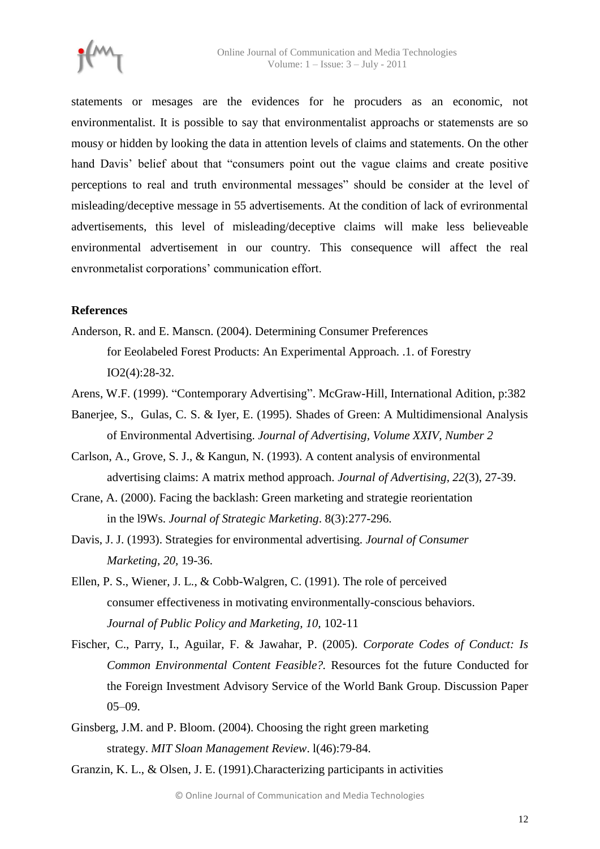

statements or mesages are the evidences for he procuders as an economic, not environmentalist. It is possible to say that environmentalist approachs or statemensts are so mousy or hidden by looking the data in attention levels of claims and statements. On the other hand Davis' belief about that "consumers point out the vague claims and create positive perceptions to real and truth environmental messages" should be consider at the level of misleading/deceptive message in 55 advertisements. At the condition of lack of evrironmental advertisements, this level of misleading/deceptive claims will make less believeable environmental advertisement in our country. This consequence will affect the real envronmetalist corporations" communication effort.

## **References**

- Anderson, R. and E. Manscn. (2004). Determining Consumer Preferences for Eeolabeled Forest Products: An Experimental Approach. .1. of Forestry IO2(4):28-32.
- Arens, W.F. (1999). "Contemporary Advertising". McGraw-Hill, International Adition, p:382
- Banerjee, S., Gulas, C. S. & Iyer, E. (1995). Shades of Green: A Multidimensional Analysis of Environmental Advertising. *Journal of Advertising, Volume XXIV, Number 2*
- Carlson, A., Grove, S. J., & Kangun, N. (1993). A content analysis of environmental advertising claims: A matrix method approach. *Journal of Advertising, 22*(3), 27-39.
- Crane, A. (2000). Facing the backlash: Green marketing and strategie reorientation in the l9Ws. *Journal of Strategic Marketing*. 8(3):277-296.
- Davis, J. J. (1993). Strategies for environmental advertising. *Journal of Consumer Marketing, 20,* 19-36.
- Ellen, P. S., Wiener, J. L., & Cobb-Walgren, C. (1991). The role of perceived consumer effectiveness in motivating environmentally-conscious behaviors. *Journal of Public Policy and Marketing, 10,* 102-11
- Fischer, C., Parry, I., Aguilar, F. & Jawahar, P. (2005). *Corporate Codes of Conduct: Is Common Environmental Content Feasible?.* Resources fot the future Conducted for the Foreign Investment Advisory Service of the World Bank Group. Discussion Paper  $05-09.$
- Ginsberg, J.M. and P. Bloom. (2004). Choosing the right green marketing strategy. *MIT Sloan Management Review*. l(46):79-84.

Granzin, K. L., & Olsen, J. E. (1991).Characterizing participants in activities